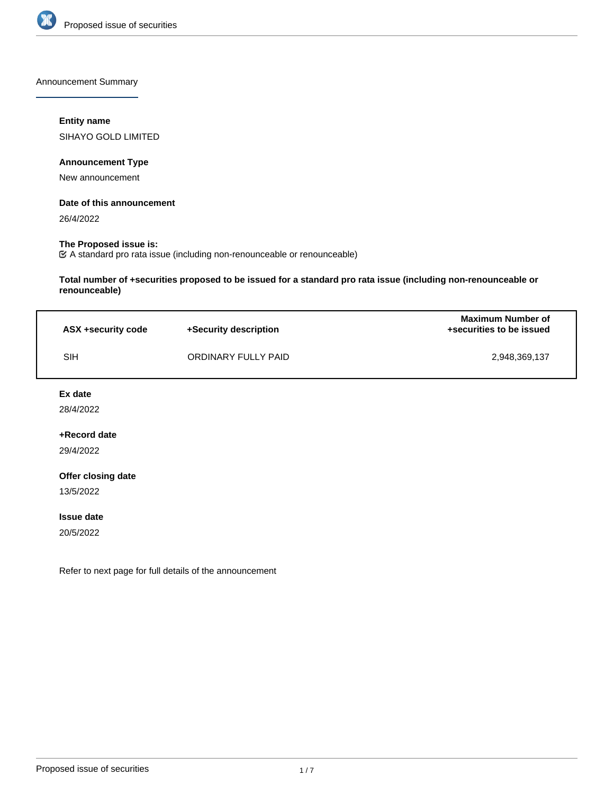

Announcement Summary

# **Entity name**

SIHAYO GOLD LIMITED

# **Announcement Type**

New announcement

# **Date of this announcement**

26/4/2022

# **The Proposed issue is:**

A standard pro rata issue (including non-renounceable or renounceable)

**Total number of +securities proposed to be issued for a standard pro rata issue (including non-renounceable or renounceable)**

| ASX +security code | +Security description | <b>Maximum Number of</b><br>+securities to be issued |
|--------------------|-----------------------|------------------------------------------------------|
| SIH                | ORDINARY FULLY PAID   | 2.948.369.137                                        |

#### **Ex date**

28/4/2022

# **+Record date**

29/4/2022

# **Offer closing date**

13/5/2022

#### **Issue date**

20/5/2022

Refer to next page for full details of the announcement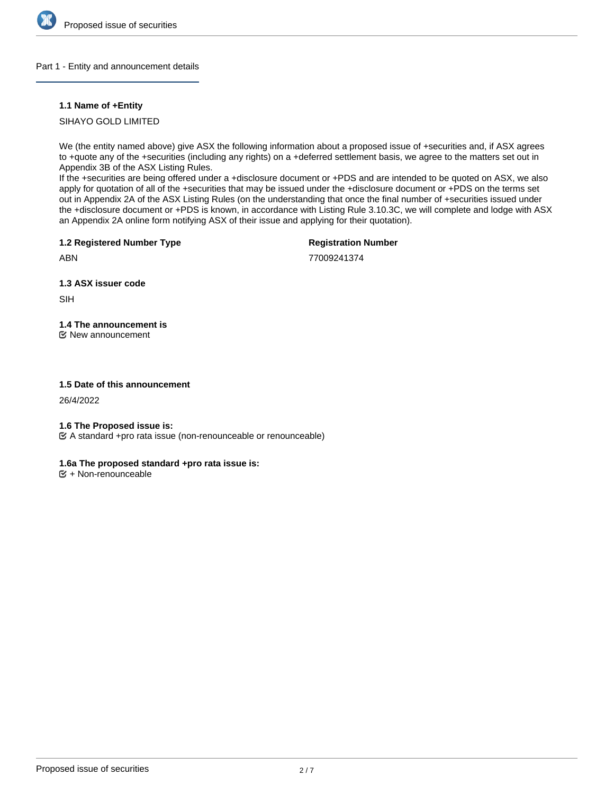

# Part 1 - Entity and announcement details

# **1.1 Name of +Entity**

SIHAYO GOLD LIMITED

We (the entity named above) give ASX the following information about a proposed issue of +securities and, if ASX agrees to +quote any of the +securities (including any rights) on a +deferred settlement basis, we agree to the matters set out in Appendix 3B of the ASX Listing Rules.

If the +securities are being offered under a +disclosure document or +PDS and are intended to be quoted on ASX, we also apply for quotation of all of the +securities that may be issued under the +disclosure document or +PDS on the terms set out in Appendix 2A of the ASX Listing Rules (on the understanding that once the final number of +securities issued under the +disclosure document or +PDS is known, in accordance with Listing Rule 3.10.3C, we will complete and lodge with ASX an Appendix 2A online form notifying ASX of their issue and applying for their quotation).

**1.2 Registered Number Type**

**Registration Number**

ABN

77009241374

**1.3 ASX issuer code**

SIH

# **1.4 The announcement is**

New announcement

# **1.5 Date of this announcement**

26/4/2022

# **1.6 The Proposed issue is:**

A standard +pro rata issue (non-renounceable or renounceable)

# **1.6a The proposed standard +pro rata issue is:**

 $E$  + Non-renounceable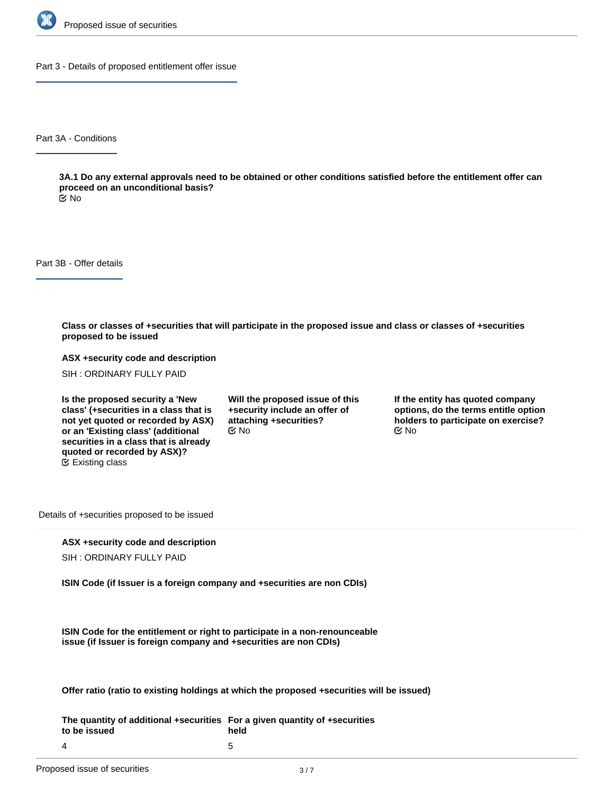

Part 3 - Details of proposed entitlement offer issue

Part 3A - Conditions

**3A.1 Do any external approvals need to be obtained or other conditions satisfied before the entitlement offer can proceed on an unconditional basis?**

No

Part 3B - Offer details

**Class or classes of +securities that will participate in the proposed issue and class or classes of +securities proposed to be issued**

**ASX +security code and description**

SIH : ORDINARY FULLY PAID

**Is the proposed security a 'New class' (+securities in a class that is not yet quoted or recorded by ASX) or an 'Existing class' (additional securities in a class that is already quoted or recorded by ASX)?** Existing class

**Will the proposed issue of this +security include an offer of attaching +securities?**  $\mathfrak{S}$  No  $\mathfrak{S}$  No  $\mathfrak{S}$  No

**If the entity has quoted company options, do the terms entitle option holders to participate on exercise?**

Details of +securities proposed to be issued

# **ASX +security code and description**

SIH : ORDINARY FULLY PAID

**ISIN Code (if Issuer is a foreign company and +securities are non CDIs)**

**ISIN Code for the entitlement or right to participate in a non-renounceable issue (if Issuer is foreign company and +securities are non CDIs)**

**Offer ratio (ratio to existing holdings at which the proposed +securities will be issued)**

**The quantity of additional +securities For a given quantity of +securities to be issued** 4 **held** 5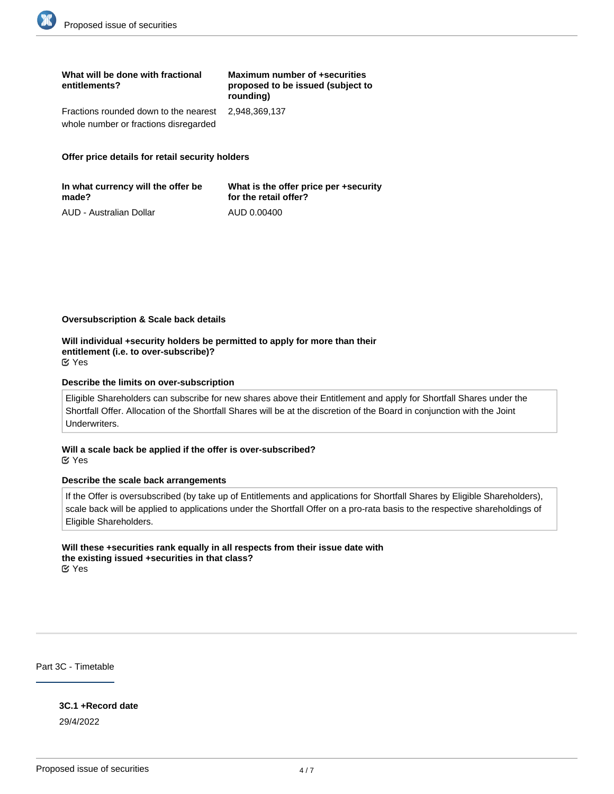| What will be done with fractional<br>entitlements?  | Maximum number of +securities<br>proposed to be issued (subject to<br>rounding) |
|-----------------------------------------------------|---------------------------------------------------------------------------------|
| Fractions rounded down to the nearest 2.948.369.137 |                                                                                 |
| whole number or fractions disregarded               |                                                                                 |

#### **Offer price details for retail security holders**

| In what currency will the offer be | What is the offer price per +security |
|------------------------------------|---------------------------------------|
| made?                              | for the retail offer?                 |
| AUD - Australian Dollar            | AUD 0.00400                           |

#### **Oversubscription & Scale back details**

**Will individual +security holders be permitted to apply for more than their entitlement (i.e. to over-subscribe)?** Yes

#### **Describe the limits on over-subscription**

Eligible Shareholders can subscribe for new shares above their Entitlement and apply for Shortfall Shares under the Shortfall Offer. Allocation of the Shortfall Shares will be at the discretion of the Board in conjunction with the Joint Underwriters.

**Will a scale back be applied if the offer is over-subscribed?** Yes

#### **Describe the scale back arrangements**

If the Offer is oversubscribed (by take up of Entitlements and applications for Shortfall Shares by Eligible Shareholders), scale back will be applied to applications under the Shortfall Offer on a pro-rata basis to the respective shareholdings of Eligible Shareholders.

#### **Will these +securities rank equally in all respects from their issue date with the existing issued +securities in that class?** Yes

Part 3C - Timetable

**3C.1 +Record date** 29/4/2022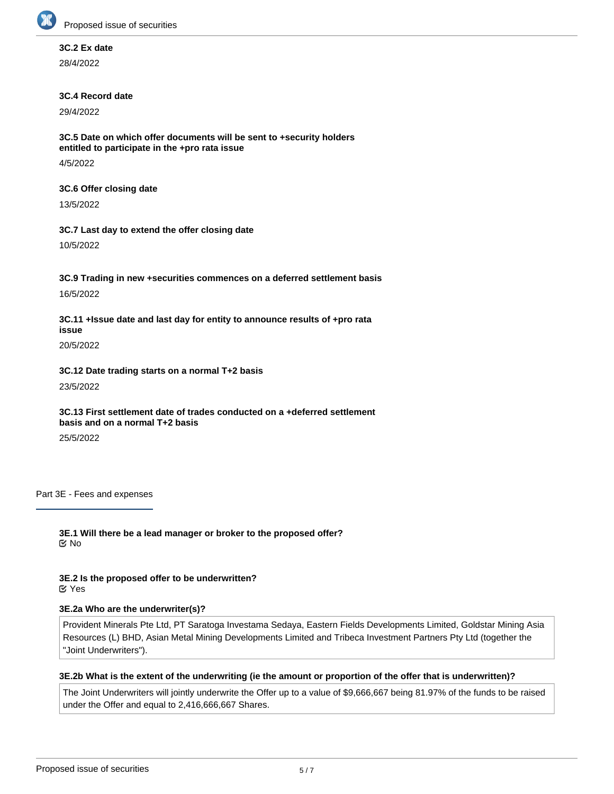

# **3C.2 Ex date**

28/4/2022

# **3C.4 Record date**

29/4/2022

**3C.5 Date on which offer documents will be sent to +security holders entitled to participate in the +pro rata issue**

4/5/2022

# **3C.6 Offer closing date**

13/5/2022

# **3C.7 Last day to extend the offer closing date**

10/5/2022

# **3C.9 Trading in new +securities commences on a deferred settlement basis**

16/5/2022

**3C.11 +Issue date and last day for entity to announce results of +pro rata issue**

20/5/2022

**3C.12 Date trading starts on a normal T+2 basis** 23/5/2022

# **3C.13 First settlement date of trades conducted on a +deferred settlement basis and on a normal T+2 basis**

25/5/2022

Part 3E - Fees and expenses

**3E.1 Will there be a lead manager or broker to the proposed offer? ⊠**No

**3E.2 Is the proposed offer to be underwritten?** Yes

# **3E.2a Who are the underwriter(s)?**

Provident Minerals Pte Ltd, PT Saratoga Investama Sedaya, Eastern Fields Developments Limited, Goldstar Mining Asia Resources (L) BHD, Asian Metal Mining Developments Limited and Tribeca Investment Partners Pty Ltd (together the "Joint Underwriters").

# **3E.2b What is the extent of the underwriting (ie the amount or proportion of the offer that is underwritten)?**

The Joint Underwriters will jointly underwrite the Offer up to a value of \$9,666,667 being 81.97% of the funds to be raised under the Offer and equal to 2,416,666,667 Shares.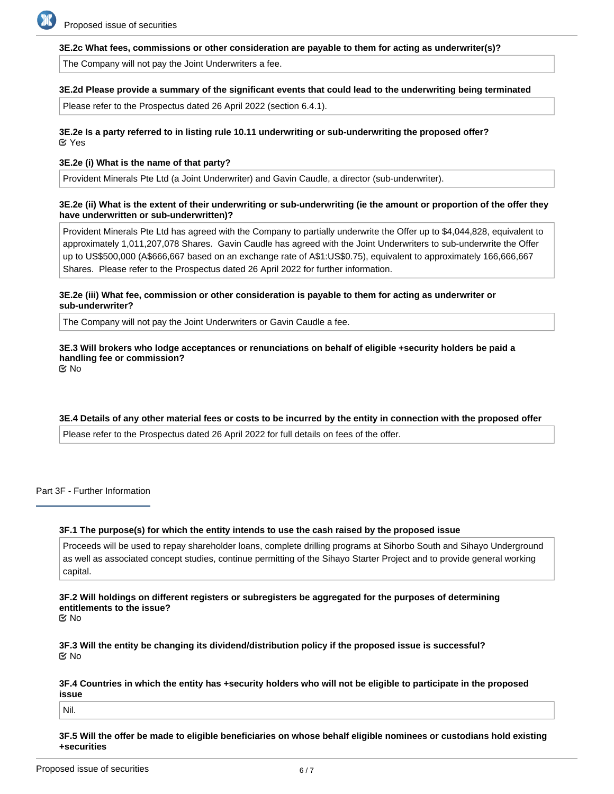

#### **3E.2c What fees, commissions or other consideration are payable to them for acting as underwriter(s)?**

The Company will not pay the Joint Underwriters a fee.

#### **3E.2d Please provide a summary of the significant events that could lead to the underwriting being terminated**

Please refer to the Prospectus dated 26 April 2022 (section 6.4.1).

# **3E.2e Is a party referred to in listing rule 10.11 underwriting or sub-underwriting the proposed offer?** Yes

# **3E.2e (i) What is the name of that party?**

Provident Minerals Pte Ltd (a Joint Underwriter) and Gavin Caudle, a director (sub-underwriter).

# **3E.2e (ii) What is the extent of their underwriting or sub-underwriting (ie the amount or proportion of the offer they have underwritten or sub-underwritten)?**

Provident Minerals Pte Ltd has agreed with the Company to partially underwrite the Offer up to \$4,044,828, equivalent to approximately 1,011,207,078 Shares. Gavin Caudle has agreed with the Joint Underwriters to sub-underwrite the Offer up to US\$500,000 (A\$666,667 based on an exchange rate of A\$1:US\$0.75), equivalent to approximately 166,666,667 Shares. Please refer to the Prospectus dated 26 April 2022 for further information.

#### **3E.2e (iii) What fee, commission or other consideration is payable to them for acting as underwriter or sub-underwriter?**

The Company will not pay the Joint Underwriters or Gavin Caudle a fee.

# **3E.3 Will brokers who lodge acceptances or renunciations on behalf of eligible +security holders be paid a handling fee or commission?**

No

# **3E.4 Details of any other material fees or costs to be incurred by the entity in connection with the proposed offer**

Please refer to the Prospectus dated 26 April 2022 for full details on fees of the offer.

Part 3F - Further Information

# **3F.1 The purpose(s) for which the entity intends to use the cash raised by the proposed issue**

Proceeds will be used to repay shareholder loans, complete drilling programs at Sihorbo South and Sihayo Underground as well as associated concept studies, continue permitting of the Sihayo Starter Project and to provide general working capital.

**3F.2 Will holdings on different registers or subregisters be aggregated for the purposes of determining entitlements to the issue?** No

**3F.3 Will the entity be changing its dividend/distribution policy if the proposed issue is successful?** No

**3F.4 Countries in which the entity has +security holders who will not be eligible to participate in the proposed issue**

Nil.

**3F.5 Will the offer be made to eligible beneficiaries on whose behalf eligible nominees or custodians hold existing +securities**